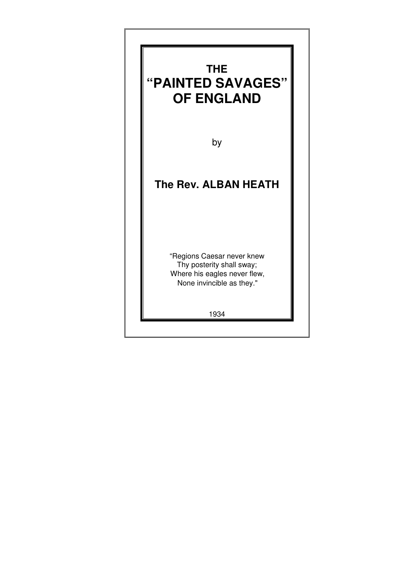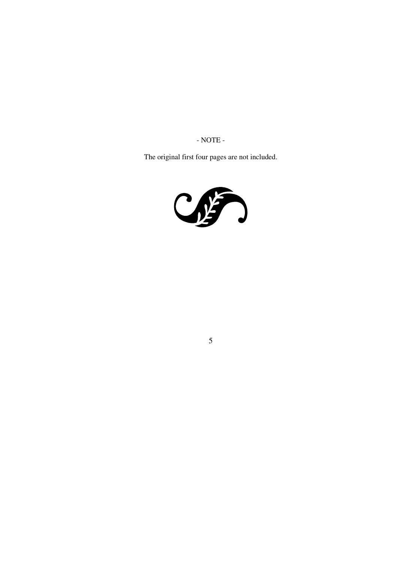- NOTE -

The original first four pages are not included.

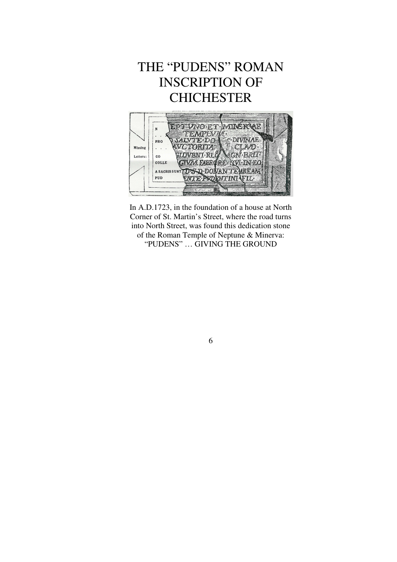# THE "PUDENS" ROMAN INSCRIPTION OF **CHICHESTER**



In A.D.1723, in the foundation of a house at North Corner of St. Martin's Street, where the road turns into North Street, was found this dedication stone of the Roman Temple of Neptune & Minerva: "PUDENS" … GIVING THE GROUND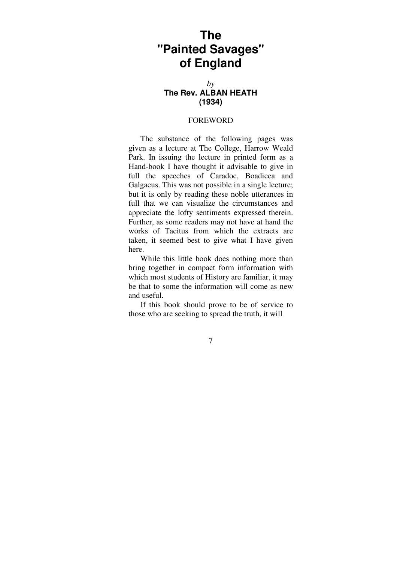## **The "Painted Savages" of England**

### *by*  **The Rev. ALBAN HEATH (1934)**

#### FOREWORD

The substance of the following pages was given as a lecture at The College, Harrow Weald Park. In issuing the lecture in printed form as a Hand-book I have thought it advisable to give in full the speeches of Caradoc, Boadicea and Galgacus. This was not possible in a single lecture; but it is only by reading these noble utterances in full that we can visualize the circumstances and appreciate the lofty sentiments expressed therein. Further, as some readers may not have at hand the works of Tacitus from which the extracts are taken, it seemed best to give what I have given here.

While this little book does nothing more than bring together in compact form information with which most students of History are familiar, it may be that to some the information will come as new and useful.

If this book should prove to be of service to those who are seeking to spread the truth, it will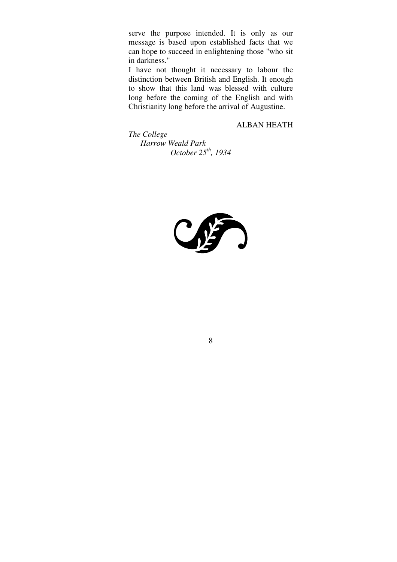serve the purpose intended. It is only as our message is based upon established facts that we can hope to succeed in enlightening those "who sit in darkness."

I have not thought it necessary to labour the distinction between British and English. It enough to show that this land was blessed with culture long before the coming of the English and with Christianity long before the arrival of Augustine.

#### ALBAN HEATH

*The College Harrow Weald Park October 25th, 1934* 

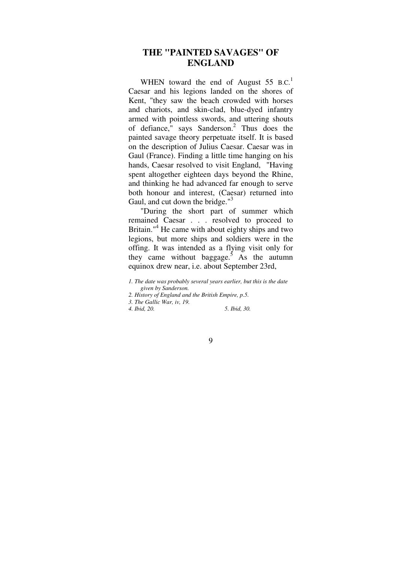## **THE "PAINTED SAVAGES" OF ENGLAND**

WHEN toward the end of August 55 B.C.<sup>1</sup> Caesar and his legions landed on the shores of Kent, "they saw the beach crowded with horses and chariots, and skin-clad, blue-dyed infantry armed with pointless swords, and uttering shouts of defiance," says Sanderson.<sup>2</sup> Thus does the painted savage theory perpetuate itself. It is based on the description of Julius Caesar. Caesar was in Gaul (France). Finding a little time hanging on his hands, Caesar resolved to visit England, "Having spent altogether eighteen days beyond the Rhine, and thinking he had advanced far enough to serve both honour and interest, (Caesar) returned into Gaul, and cut down the bridge."<sup>3</sup>

"During the short part of summer which remained Caesar . . . resolved to proceed to Britain."<sup>4</sup> He came with about eighty ships and two legions, but more ships and soldiers were in the offing. It was intended as a flying visit only for they came without baggage.<sup>5</sup> As the autumn equinox drew near, i.e. about September 23rd,

*1. The date was probably several years earlier, but this is the date given by Sanderson.* 

*2. History of England and the British Empire, p.5.* 

*3. The Gallic War, iv, 19.* 

*4. Ibid, 20. 5. Ibid, 30.*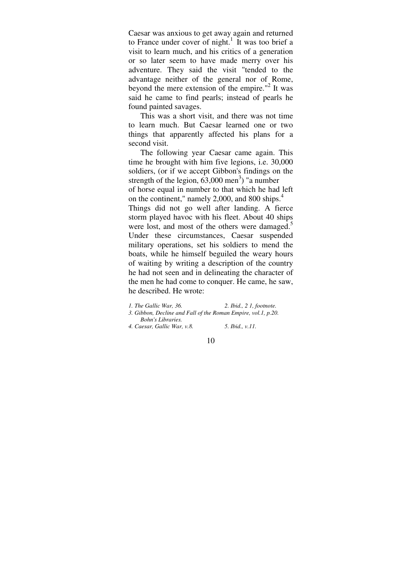Caesar was anxious to get away again and returned to France under cover of night.<sup>1</sup> It was too brief a visit to learn much, and his critics of a generation or so later seem to have made merry over his adventure. They said the visit "tended to the advantage neither of the general nor of Rome, beyond the mere extension of the empire."<sup>2</sup> It was said he came to find pearls; instead of pearls he found painted savages.

This was a short visit, and there was not time to learn much. But Caesar learned one or two things that apparently affected his plans for a second visit.

The following year Caesar came again. This time he brought with him five legions, i.e. 30,000 soldiers, (or if we accept Gibbon's findings on the strength of the legion,  $63,000$  men<sup>3</sup>) "a number of horse equal in number to that which he had left on the continent," namely 2,000, and 800 ships.<sup>4</sup> Things did not go well after landing. A fierce storm played havoc with his fleet. About 40 ships were lost, and most of the others were damaged.<sup>5</sup> Under these circumstances, Caesar suspended military operations, set his soldiers to mend the boats, while he himself beguiled the weary hours of waiting by writing a description of the country he had not seen and in delineating the character of the men he had come to conquer. He came, he saw, he described. He wrote:

- *1. The Gallic War, 36. 2. Ibid., 2 1, footnote. 3. Gibbon, Decline and Fall of the Roman Empire, vol.1, p.20. Bohn's Libraries.*
- *4. Caesar, Gallic War, v.8. 5. Ibid., v.11.*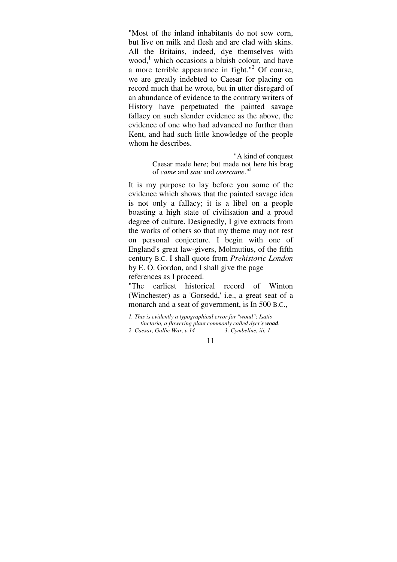"Most of the inland inhabitants do not sow corn, but live on milk and flesh and are clad with skins. All the Britains, indeed, dye themselves with wood,<sup>1</sup> which occasions a bluish colour, and have a more terrible appearance in fight."<sup>2</sup> Of course, we are greatly indebted to Caesar for placing on record much that he wrote, but in utter disregard of an abundance of evidence to the contrary writers of History have perpetuated the painted savage fallacy on such slender evidence as the above, the evidence of one who had advanced no further than Kent, and had such little knowledge of the people whom he describes.

> "A kind of conquest Caesar made here; but made not here his brag of *came* and *saw* and *overcame*."<sup>3</sup>

It is my purpose to lay before you some of the evidence which shows that the painted savage idea is not only a fallacy; it is a libel on a people boasting a high state of civilisation and a proud degree of culture. Designedly, I give extracts from the works of others so that my theme may not rest on personal conjecture. I begin with one of England's great law-givers, Molmutius, of the fifth century B.C. I shall quote from *Prehistoric London* by E. O. Gordon, and I shall give the page references as I proceed.

"The earliest historical record of Winton (Winchester) as a 'Gorsedd,' i.e., a great seat of a monarch and a seat of government, is In 500 B.C.,

*1. This is evidently a typographical error for "woad"; Isatis tinctoria, a flowering plant commonly called dyer's woad. 2. Caesar, Gallic War, v.14 3. Cymbeline, iii, 1*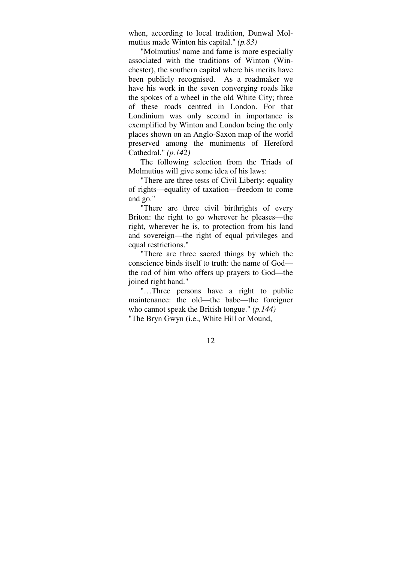when, according to local tradition, Dunwal Molmutius made Winton his capital." *(p.83)*

"Molmutius' name and fame is more especially associated with the traditions of Winton (Winchester), the southern capital where his merits have been publicly recognised. As a roadmaker we have his work in the seven converging roads like the spokes of a wheel in the old White City; three of these roads centred in London. For that Londinium was only second in importance is exemplified by Winton and London being the only places shown on an Anglo-Saxon map of the world preserved among the muniments of Hereford Cathedral." *(p.142)*

The following selection from the Triads of Molmutius will give some idea of his laws:

"There are three tests of Civil Liberty: equality of rights—equality of taxation—freedom to come and go."

"There are three civil birthrights of every Briton: the right to go wherever he pleases—the right, wherever he is, to protection from his land and sovereign—the right of equal privileges and equal restrictions."

"There are three sacred things by which the conscience binds itself to truth: the name of God the rod of him who offers up prayers to God—the joined right hand."

"…Three persons have a right to public maintenance: the old—the babe—the foreigner who cannot speak the British tongue." *(p.144)* "The Bryn Gwyn (i.e., White Hill or Mound,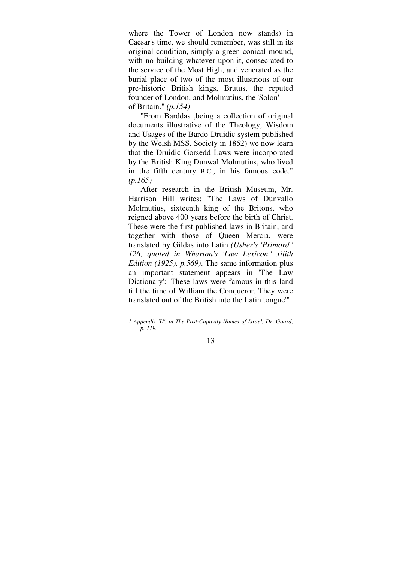where the Tower of London now stands) in Caesar's time, we should remember, was still in its original condition, simply a green conical mound, with no building whatever upon it, consecrated to the service of the Most High, and venerated as the burial place of two of the most illustrious of our pre-historic British kings, Brutus, the reputed founder of London, and Molmutius, the 'Solon' of Britain." *(p.154)*

"From Barddas ,being a collection of original documents illustrative of the Theology, Wisdom and Usages of the Bardo-Druidic system published by the Welsh MSS. Society in 1852) we now learn that the Druidic Gorsedd Laws were incorporated by the British King Dunwal Molmutius, who lived in the fifth century B.C., in his famous code." *(p.165)*

After research in the British Museum, Mr. Harrison Hill writes: "The Laws of Dunvallo Molmutius, sixteenth king of the Britons, who reigned above 400 years before the birth of Christ. These were the first published laws in Britain, and together with those of Queen Mercia, were translated by Gildas into Latin *(Usher's 'Primord.' 126, quoted in Wharton's 'Law Lexicon,' xiiith Edition (1925), p.569)*. The same information plus an important statement appears in 'The Law Dictionary': 'These laws were famous in this land till the time of William the Conqueror. They were translated out of the British into the Latin tongue'"<sup>1</sup>

*1 Appendix 'H', in The Post-Captivity Names of Israel, Dr. Goard, p. 119.*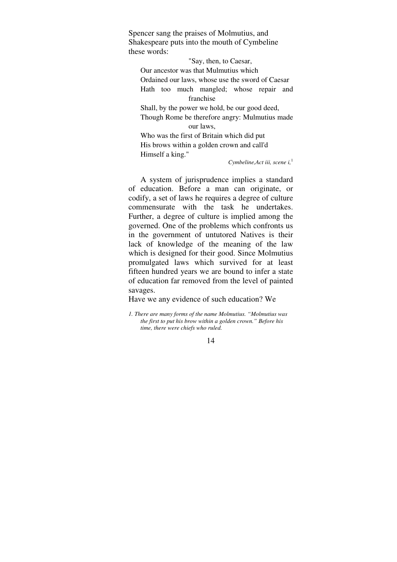Spencer sang the praises of Molmutius, and Shakespeare puts into the mouth of Cymbeline these words:

"Say, then, to Caesar, Our ancestor was that Mulmutius which Ordained our laws, whose use the sword of Caesar Hath too much mangled; whose repair and franchise Shall, by the power we hold, be our good deed, Though Rome be therefore angry: Mulmutius made our laws, Who was the first of Britain which did put His brows within a golden crown and call'd Himself a king."

*Cymbeline,Act iii, scene i,*<sup>1</sup>

A system of jurisprudence implies a standard of education. Before a man can originate, or codify, a set of laws he requires a degree of culture commensurate with the task he undertakes. Further, a degree of culture is implied among the governed. One of the problems which confronts us in the government of untutored Natives is their lack of knowledge of the meaning of the law which is designed for their good. Since Molmutius promulgated laws which survived for at least fifteen hundred years we are bound to infer a state of education far removed from the level of painted savages.

Have we any evidence of such education? We

*1. There are many forms of the name Molmutius. "Molmutius was the first to put his brow within a golden crown." Before his time, there were chiefs who ruled.*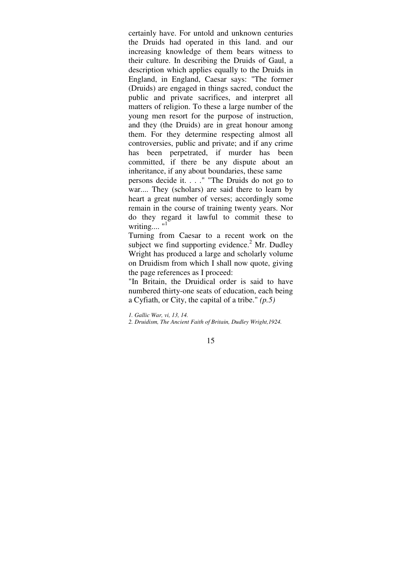certainly have. For untold and unknown centuries the Druids had operated in this land. and our increasing knowledge of them bears witness to their culture. In describing the Druids of Gaul, a description which applies equally to the Druids in England, in England, Caesar says: "The former (Druids) are engaged in things sacred, conduct the public and private sacrifices, and interpret all matters of religion. To these a large number of the young men resort for the purpose of instruction, and they (the Druids) are in great honour among them. For they determine respecting almost all controversies, public and private; and if any crime has been perpetrated, if murder has been committed, if there be any dispute about an inheritance, if any about boundaries, these same persons decide it. . . ." "The Druids do not go to

war.... They (scholars) are said there to learn by heart a great number of verses; accordingly some remain in the course of training twenty years. Nor do they regard it lawful to commit these to writing.... "<sup>1</sup>

Turning from Caesar to a recent work on the subject we find supporting evidence. $2$  Mr. Dudley Wright has produced a large and scholarly volume on Druidism from which I shall now quote, giving the page references as I proceed:

"In Britain, the Druidical order is said to have numbered thirty-one seats of education, each being a Cyfiath, or City, the capital of a tribe." *(p.5)*

*<sup>1.</sup> Gallic War, vi, 13, 14.* 

*<sup>2.</sup> Druidism, The Ancient Faith of Britain, Dudley Wright,1924.* 

 <sup>15</sup>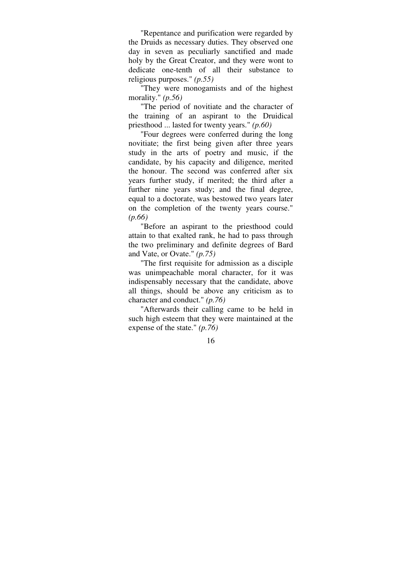"Repentance and purification were regarded by the Druids as necessary duties. They observed one day in seven as peculiarly sanctified and made holy by the Great Creator, and they were wont to dedicate one-tenth of all their substance to religious purposes." *(p.55)*

"They were monogamists and of the highest morality." *(p.56)*

"The period of novitiate and the character of the training of an aspirant to the Druidical priesthood ... lasted for twenty years." *(p.60)*

"Four degrees were conferred during the long novitiate; the first being given after three years study in the arts of poetry and music, if the candidate, by his capacity and diligence, merited the honour. The second was conferred after six years further study, if merited; the third after a further nine years study; and the final degree, equal to a doctorate, was bestowed two years later on the completion of the twenty years course." *(p.66)*

"Before an aspirant to the priesthood could attain to that exalted rank, he had to pass through the two preliminary and definite degrees of Bard and Vate, or Ovate." *(p.75)*

"The first requisite for admission as a disciple was unimpeachable moral character, for it was indispensably necessary that the candidate, above all things, should be above any criticism as to character and conduct." *(p.76)*

"Afterwards their calling came to be held in such high esteem that they were maintained at the expense of the state." *(p.76)*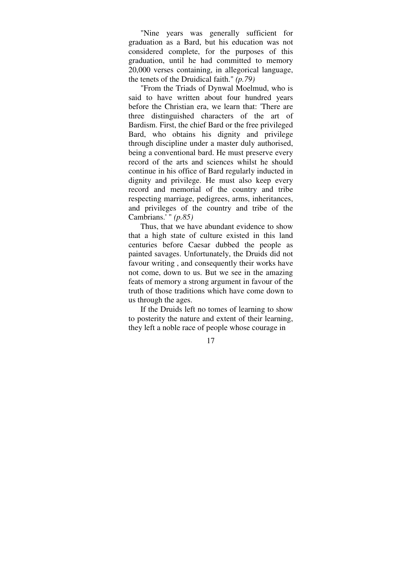"Nine years was generally sufficient for graduation as a Bard, but his education was not considered complete, for the purposes of this graduation, until he had committed to memory 20,000 verses containing, in allegorical language, the tenets of the Druidical faith." *(p.79)*

"From the Triads of Dynwal Moelmud, who is said to have written about four hundred years before the Christian era, we learn that: 'There are three distinguished characters of the art of Bardism. First, the chief Bard or the free privileged Bard, who obtains his dignity and privilege through discipline under a master duly authorised, being a conventional bard. He must preserve every record of the arts and sciences whilst he should continue in his office of Bard regularly inducted in dignity and privilege. He must also keep every record and memorial of the country and tribe respecting marriage, pedigrees, arms, inheritances, and privileges of the country and tribe of the Cambrians.' " *(p.85)*

Thus, that we have abundant evidence to show that a high state of culture existed in this land centuries before Caesar dubbed the people as painted savages. Unfortunately, the Druids did not favour writing , and consequently their works have not come, down to us. But we see in the amazing feats of memory a strong argument in favour of the truth of those traditions which have come down to us through the ages.

If the Druids left no tomes of learning to show to posterity the nature and extent of their learning, they left a noble race of people whose courage in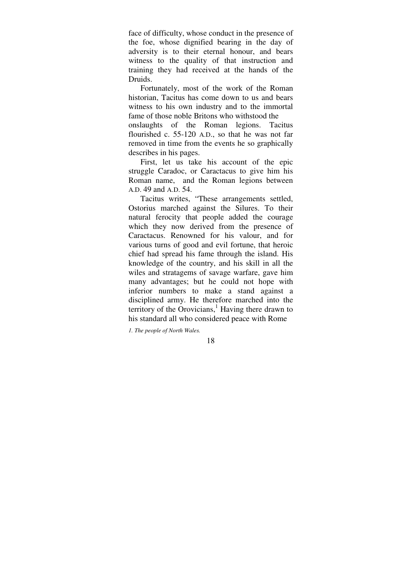face of difficulty, whose conduct in the presence of the foe, whose dignified bearing in the day of adversity is to their eternal honour, and bears witness to the quality of that instruction and training they had received at the hands of the Druids.

Fortunately, most of the work of the Roman historian, Tacitus has come down to us and bears witness to his own industry and to the immortal fame of those noble Britons who withstood the

onslaughts of the Roman legions. Tacitus flourished c. 55-120 A.D., so that he was not far removed in time from the events he so graphically describes in his pages.

First, let us take his account of the epic struggle Caradoc, or Caractacus to give him his Roman name, and the Roman legions between A.D. 49 and A.D. 54.

Tacitus writes, "These arrangements settled, Ostorius marched against the Silures. To their natural ferocity that people added the courage which they now derived from the presence of Caractacus. Renowned for his valour, and for various turns of good and evil fortune, that heroic chief had spread his fame through the island. His knowledge of the country, and his skill in all the wiles and stratagems of savage warfare, gave him many advantages; but he could not hope with inferior numbers to make a stand against a disciplined army. He therefore marched into the territory of the Orovicians, $<sup>1</sup>$  Having there drawn to</sup> his standard all who considered peace with Rome

*1. The people of North Wales.*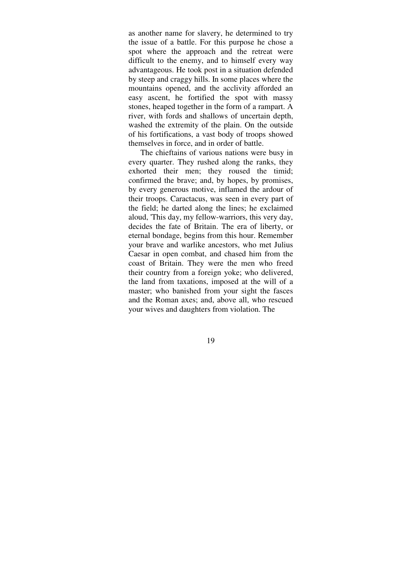as another name for slavery, he determined to try the issue of a battle. For this purpose he chose a spot where the approach and the retreat were difficult to the enemy, and to himself every way advantageous. He took post in a situation defended by steep and craggy hills. In some places where the mountains opened, and the acclivity afforded an easy ascent, he fortified the spot with massy stones, heaped together in the form of a rampart. A river, with fords and shallows of uncertain depth, washed the extremity of the plain. On the outside of his fortifications, a vast body of troops showed themselves in force, and in order of battle.

The chieftains of various nations were busy in every quarter. They rushed along the ranks, they exhorted their men; they roused the timid; confirmed the brave; and, by hopes, by promises, by every generous motive, inflamed the ardour of their troops. Caractacus, was seen in every part of the field; he darted along the lines; he exclaimed aloud, 'This day, my fellow-warriors, this very day, decides the fate of Britain. The era of liberty, or eternal bondage, begins from this hour. Remember your brave and warlike ancestors, who met Julius Caesar in open combat, and chased him from the coast of Britain. They were the men who freed their country from a foreign yoke; who delivered, the land from taxations, imposed at the will of a master; who banished from your sight the fasces and the Roman axes; and, above all, who rescued your wives and daughters from violation. The

19 and 19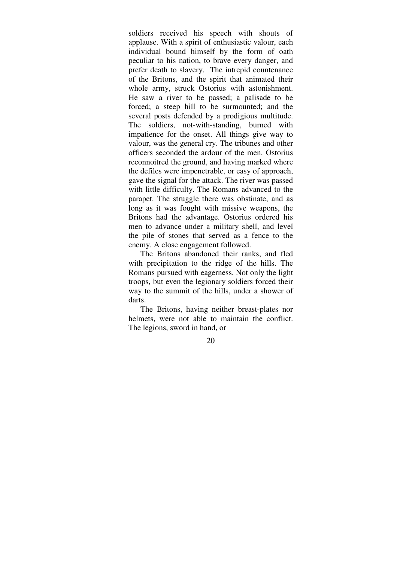soldiers received his speech with shouts of applause. With a spirit of enthusiastic valour, each individual bound himself by the form of oath peculiar to his nation, to brave every danger, and prefer death to slavery. The intrepid countenance of the Britons, and the spirit that animated their whole army, struck Ostorius with astonishment. He saw a river to be passed; a palisade to be forced; a steep hill to be surmounted; and the several posts defended by a prodigious multitude. The soldiers, not-with-standing, burned with impatience for the onset. All things give way to valour, was the general cry. The tribunes and other officers seconded the ardour of the men. Ostorius reconnoitred the ground, and having marked where the defiles were impenetrable, or easy of approach, gave the signal for the attack. The river was passed with little difficulty. The Romans advanced to the parapet. The struggle there was obstinate, and as long as it was fought with missive weapons, the Britons had the advantage. Ostorius ordered his men to advance under a military shell, and level the pile of stones that served as a fence to the enemy. A close engagement followed.

The Britons abandoned their ranks, and fled with precipitation to the ridge of the hills. The Romans pursued with eagerness. Not only the light troops, but even the legionary soldiers forced their way to the summit of the hills, under a shower of darts.

The Britons, having neither breast-plates nor helmets, were not able to maintain the conflict. The legions, sword in hand, or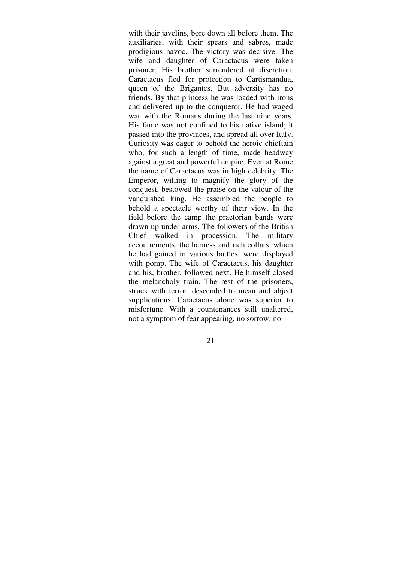with their javelins, bore down all before them. The auxiliaries, with their spears and sabres, made prodigious havoc. The victory was decisive. The wife and daughter of Caractacus were taken prisoner. His brother surrendered at discretion. Caractacus fled for protection to Cartismandua, queen of the Brigantes. But adversity has no friends. By that princess he was loaded with irons and delivered up to the conqueror. He had waged war with the Romans during the last nine years. His fame was not confined to his native island; it passed into the provinces, and spread all over Italy. Curiosity was eager to behold the heroic chieftain who, for such a length of time, made headway against a great and powerful empire. Even at Rome the name of Caractacus was in high celebrity. The Emperor, willing to magnify the glory of the conquest, bestowed the praise on the valour of the vanquished king. He assembled the people to behold a spectacle worthy of their view. In the field before the camp the praetorian bands were drawn up under arms. The followers of the British Chief walked in procession. The military accoutrements, the harness and rich collars, which he had gained in various battles, were displayed with pomp. The wife of Caractacus, his daughter and his, brother, followed next. He himself closed the melancholy train. The rest of the prisoners, struck with terror, descended to mean and abject supplications. Caractacus alone was superior to misfortune. With a countenances still unaltered, not a symptom of fear appearing, no sorrow, no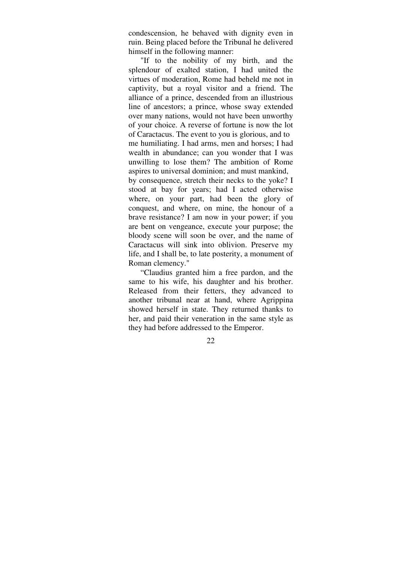condescension, he behaved with dignity even in ruin. Being placed before the Tribunal he delivered himself in the following manner:

"If to the nobility of my birth, and the splendour of exalted station, I had united the virtues of moderation, Rome had beheld me not in captivity, but a royal visitor and a friend. The alliance of a prince, descended from an illustrious line of ancestors; a prince, whose sway extended over many nations, would not have been unworthy of your choice. A reverse of fortune is now the lot of Caractacus. The event to you is glorious, and to me humiliating. I had arms, men and horses; I had wealth in abundance; can you wonder that I was unwilling to lose them? The ambition of Rome aspires to universal dominion; and must mankind, by consequence, stretch their necks to the yoke? I stood at bay for years; had I acted otherwise where, on your part, had been the glory of conquest, and where, on mine, the honour of a brave resistance? I am now in your power; if you are bent on vengeance, execute your purpose; the bloody scene will soon be over, and the name of Caractacus will sink into oblivion. Preserve my life, and I shall be, to late posterity, a monument of Roman clemency."

"Claudius granted him a free pardon, and the same to his wife, his daughter and his brother. Released from their fetters, they advanced to another tribunal near at hand, where Agrippina showed herself in state. They returned thanks to her, and paid their veneration in the same style as they had before addressed to the Emperor.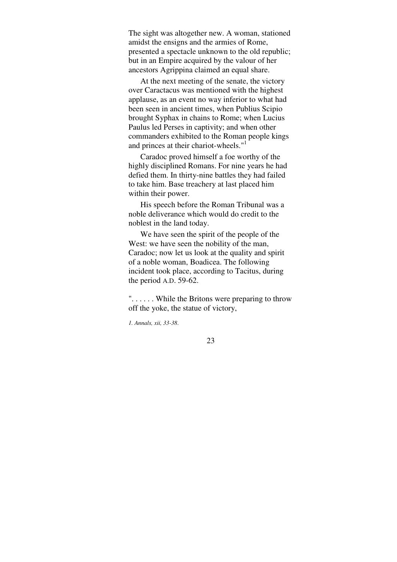The sight was altogether new. A woman, stationed amidst the ensigns and the armies of Rome, presented a spectacle unknown to the old republic; but in an Empire acquired by the valour of her ancestors Agrippina claimed an equal share.

At the next meeting of the senate, the victory over Caractacus was mentioned with the highest applause, as an event no way inferior to what had been seen in ancient times, when Publius Scipio brought Syphax in chains to Rome; when Lucius Paulus led Perses in captivity; and when other commanders exhibited to the Roman people kings and princes at their chariot-wheels."<sup>1</sup>

Caradoc proved himself a foe worthy of the highly disciplined Romans. For nine years he had defied them. In thirty-nine battles they had failed to take him. Base treachery at last placed him within their power.

His speech before the Roman Tribunal was a noble deliverance which would do credit to the noblest in the land today.

We have seen the spirit of the people of the West: we have seen the nobility of the man, Caradoc; now let us look at the quality and spirit of a noble woman, Boadicea. The following incident took place, according to Tacitus, during the period A.D. 59-62.

". . . . . . While the Britons were preparing to throw off the yoke, the statue of victory,

*1. Annals, xii, 33-38*.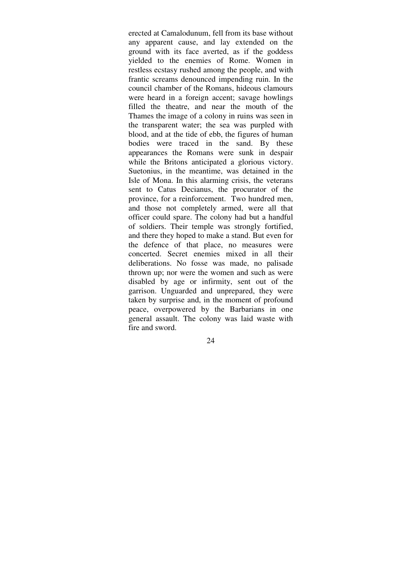erected at Camalodunum, fell from its base without any apparent cause, and lay extended on the ground with its face averted, as if the goddess yielded to the enemies of Rome. Women in restless ecstasy rushed among the people, and with frantic screams denounced impending ruin. In the council chamber of the Romans, hideous clamours were heard in a foreign accent; savage howlings filled the theatre, and near the mouth of the Thames the image of a colony in ruins was seen in the transparent water; the sea was purpled with blood, and at the tide of ebb, the figures of human bodies were traced in the sand. By these appearances the Romans were sunk in despair while the Britons anticipated a glorious victory. Suetonius, in the meantime, was detained in the Isle of Mona. In this alarming crisis, the veterans sent to Catus Decianus, the procurator of the province, for a reinforcement. Two hundred men, and those not completely armed, were all that officer could spare. The colony had but a handful of soldiers. Their temple was strongly fortified, and there they hoped to make a stand. But even for the defence of that place, no measures were concerted. Secret enemies mixed in all their deliberations. No fosse was made, no palisade thrown up; nor were the women and such as were disabled by age or infirmity, sent out of the garrison. Unguarded and unprepared, they were taken by surprise and, in the moment of profound peace, overpowered by the Barbarians in one general assault. The colony was laid waste with fire and sword.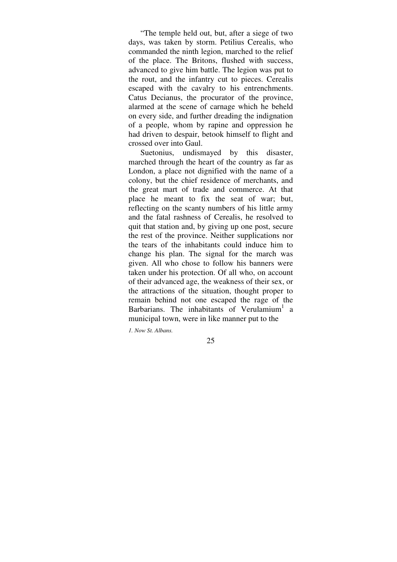"The temple held out, but, after a siege of two days, was taken by storm. Petilius Cerealis, who commanded the ninth legion, marched to the relief of the place. The Britons, flushed with success, advanced to give him battle. The legion was put to the rout, and the infantry cut to pieces. Cerealis escaped with the cavalry to his entrenchments. Catus Decianus, the procurator of the province, alarmed at the scene of carnage which he beheld on every side, and further dreading the indignation of a people, whom by rapine and oppression he had driven to despair, betook himself to flight and crossed over into Gaul.

Suetonius, undismayed by this disaster, marched through the heart of the country as far as London, a place not dignified with the name of a colony, but the chief residence of merchants, and the great mart of trade and commerce. At that place he meant to fix the seat of war; but, reflecting on the scanty numbers of his little army and the fatal rashness of Cerealis, he resolved to quit that station and, by giving up one post, secure the rest of the province. Neither supplications nor the tears of the inhabitants could induce him to change his plan. The signal for the march was given. All who chose to follow his banners were taken under his protection. Of all who, on account of their advanced age, the weakness of their sex, or the attractions of the situation, thought proper to remain behind not one escaped the rage of the Barbarians. The inhabitants of Verulamium<sup>1</sup> a municipal town, were in like manner put to the

*1. Now St. Albans.*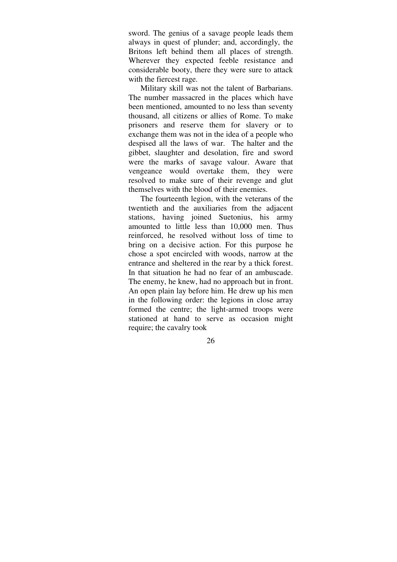sword. The genius of a savage people leads them always in quest of plunder; and, accordingly, the Britons left behind them all places of strength. Wherever they expected feeble resistance and considerable booty, there they were sure to attack with the fiercest rage.

Military skill was not the talent of Barbarians. The number massacred in the places which have been mentioned, amounted to no less than seventy thousand, all citizens or allies of Rome. To make prisoners and reserve them for slavery or to exchange them was not in the idea of a people who despised all the laws of war. The halter and the gibbet, slaughter and desolation, fire and sword were the marks of savage valour. Aware that vengeance would overtake them, they were resolved to make sure of their revenge and glut themselves with the blood of their enemies.

The fourteenth legion, with the veterans of the twentieth and the auxiliaries from the adjacent stations, having joined Suetonius, his army amounted to little less than 10,000 men. Thus reinforced, he resolved without loss of time to bring on a decisive action. For this purpose he chose a spot encircled with woods, narrow at the entrance and sheltered in the rear by a thick forest. In that situation he had no fear of an ambuscade. The enemy, he knew, had no approach but in front. An open plain lay before him. He drew up his men in the following order: the legions in close array formed the centre; the light-armed troops were stationed at hand to serve as occasion might require; the cavalry took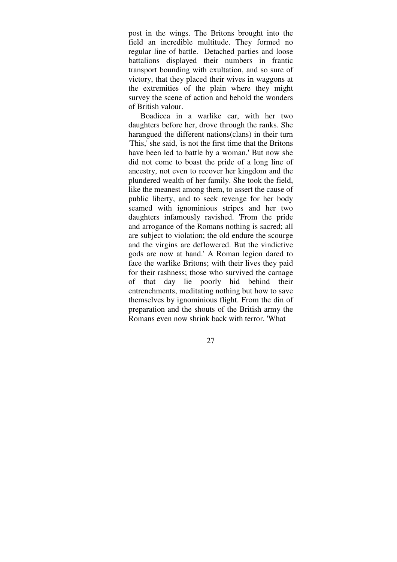post in the wings. The Britons brought into the field an incredible multitude. They formed no regular line of battle. Detached parties and loose battalions displayed their numbers in frantic transport bounding with exultation, and so sure of victory, that they placed their wives in waggons at the extremities of the plain where they might survey the scene of action and behold the wonders of British valour.

Boadicea in a warlike car, with her two daughters before her, drove through the ranks. She harangued the different nations(clans) in their turn 'This,' she said, 'is not the first time that the Britons have been led to battle by a woman.' But now she did not come to boast the pride of a long line of ancestry, not even to recover her kingdom and the plundered wealth of her family. She took the field, like the meanest among them, to assert the cause of public liberty, and to seek revenge for her body seamed with ignominious stripes and her two daughters infamously ravished. 'From the pride and arrogance of the Romans nothing is sacred; all are subject to violation; the old endure the scourge and the virgins are deflowered. But the vindictive gods are now at hand.' A Roman legion dared to face the warlike Britons; with their lives they paid for their rashness; those who survived the carnage of that day lie poorly hid behind their entrenchments, meditating nothing but how to save themselves by ignominious flight. From the din of preparation and the shouts of the British army the Romans even now shrink back with terror. 'What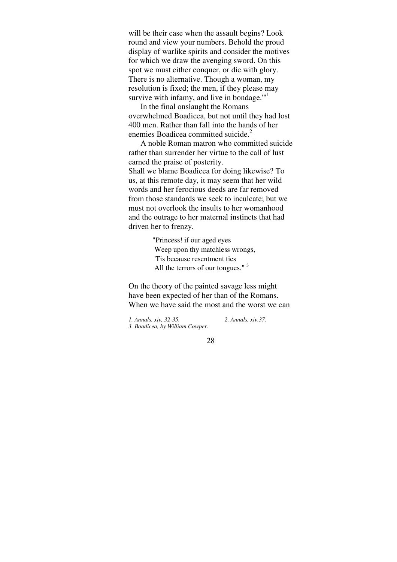will be their case when the assault begins? Look round and view your numbers. Behold the proud display of warlike spirits and consider the motives for which we draw the avenging sword. On this spot we must either conquer, or die with glory. There is no alternative. Though a woman, my resolution is fixed; the men, if they please may survive with infamy, and live in bondage."<sup>1</sup>

In the final onslaught the Romans overwhelmed Boadicea, but not until they had lost 400 men. Rather than fall into the hands of her enemies Boadicea committed suicide.<sup>2</sup>

A noble Roman matron who committed suicide rather than surrender her virtue to the call of lust earned the praise of posterity. Shall we blame Boadicea for doing likewise? To us, at this remote day, it may seem that her wild words and her ferocious deeds are far removed from those standards we seek to inculcate; but we must not overlook the insults to her womanhood and the outrage to her maternal instincts that had driven her to frenzy.

> "Princess! if our aged eyes Weep upon thy matchless wrongs, 'Tis because resentment ties All the terrors of our tongues." <sup>3</sup>

On the theory of the painted savage less might have been expected of her than of the Romans. When we have said the most and the worst we can

*1. Annals, xiv, 32-35. 2. Annals, xiv,37. 3. Boadicea, by William Cowper.*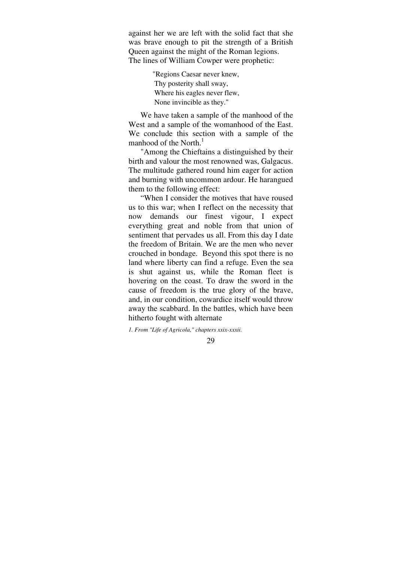against her we are left with the solid fact that she was brave enough to pit the strength of a British Queen against the might of the Roman legions. The lines of William Cowper were prophetic:

> "Regions Caesar never knew, Thy posterity shall sway, Where his eagles never flew, None invincible as they."

We have taken a sample of the manhood of the West and a sample of the womanhood of the East. We conclude this section with a sample of the manhood of the North. $<sup>1</sup>$ </sup>

"Among the Chieftains a distinguished by their birth and valour the most renowned was, Galgacus. The multitude gathered round him eager for action and burning with uncommon ardour. He harangued them to the following effect:

"When I consider the motives that have roused us to this war; when I reflect on the necessity that now demands our finest vigour, I expect everything great and noble from that union of sentiment that pervades us all. From this day I date the freedom of Britain. We are the men who never crouched in bondage. Beyond this spot there is no land where liberty can find a refuge. Even the sea is shut against us, while the Roman fleet is hovering on the coast. To draw the sword in the cause of freedom is the true glory of the brave, and, in our condition, cowardice itself would throw away the scabbard. In the battles, which have been hitherto fought with alternate

*1. From "Life of Agricola," chapters xxix-xxxii.*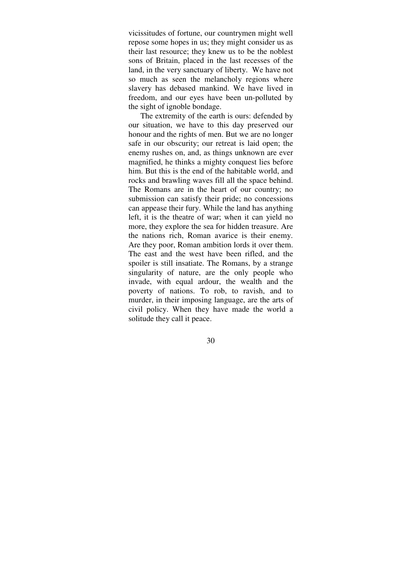vicissitudes of fortune, our countrymen might well repose some hopes in us; they might consider us as their last resource; they knew us to be the noblest sons of Britain, placed in the last recesses of the land, in the very sanctuary of liberty. We have not so much as seen the melancholy regions where slavery has debased mankind. We have lived in freedom, and our eyes have been un-polluted by the sight of ignoble bondage.

The extremity of the earth is ours: defended by our situation, we have to this day preserved our honour and the rights of men. But we are no longer safe in our obscurity; our retreat is laid open; the enemy rushes on, and, as things unknown are ever magnified, he thinks a mighty conquest lies before him. But this is the end of the habitable world, and rocks and brawling waves fill all the space behind. The Romans are in the heart of our country; no submission can satisfy their pride; no concessions can appease their fury. While the land has anything left, it is the theatre of war; when it can yield no more, they explore the sea for hidden treasure. Are the nations rich, Roman avarice is their enemy. Are they poor, Roman ambition lords it over them. The east and the west have been rifled, and the spoiler is still insatiate. The Romans, by a strange singularity of nature, are the only people who invade, with equal ardour, the wealth and the poverty of nations. To rob, to ravish, and to murder, in their imposing language, are the arts of civil policy. When they have made the world a solitude they call it peace.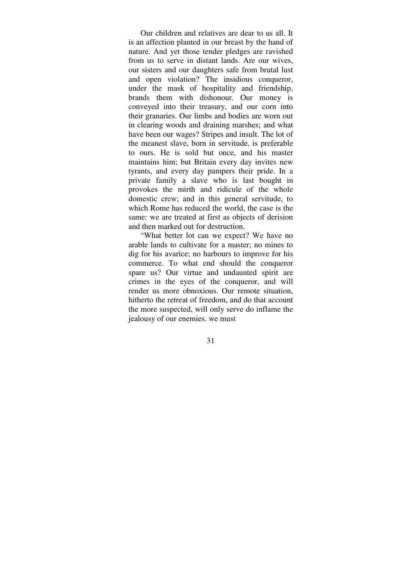Our children and relatives are dear to us all. It is an affection planted in our breast by the hand of nature. And yet those tender pledges are ravished from us to serve in distant lands. Are our wives, our sisters and our daughters safe from brutal lust and open violation? The insidious conqueror, under the mask of hospitality and friendship, brands them with dishonour. Our money is conveyed into their treasury, and our corn into their granaries. Our limbs and bodies are worn out in clearing woods and draining marshes; and what have been our wages? Stripes and insult. The lot of the meanest slave, born in servitude, is preferable to ours. He is sold but once, and his master maintains him; but Britain every day invites new tyrants, and every day pampers their pride. In a private family a slave who is last bought in provokes the mirth and ridicule of the whole domestic crew; and in this general servitude, to which Rome has reduced the world, the case is the same: we are treated at first as objects of derision and then marked out for destruction.

"What better lot can we expect? We have no arable lands to cultivate for a master; no mines to dig for his avarice; no harbours to improve for his commerce. To what end should the conqueror spare us? Our virtue and undaunted spirit are crimes in the eyes of the conqueror, and will render us more obnoxious. Our remote situation, hitherto the retreat of freedom, and do that account the more suspected, will only serve do inflame the jealousy of our enemies. we must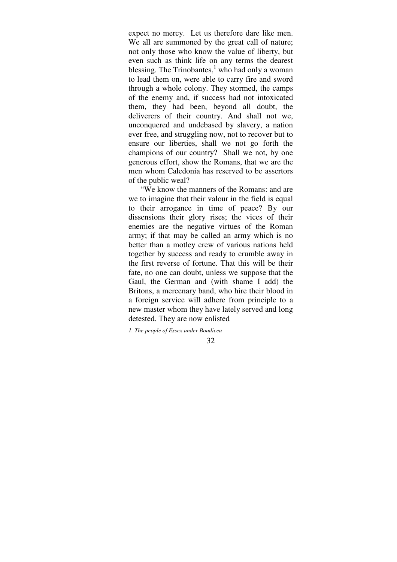expect no mercy. Let us therefore dare like men. We all are summoned by the great call of nature; not only those who know the value of liberty, but even such as think life on any terms the dearest blessing. The Trinobantes, $<sup>1</sup>$  who had only a woman</sup> to lead them on, were able to carry fire and sword through a whole colony. They stormed, the camps of the enemy and, if success had not intoxicated them, they had been, beyond all doubt, the deliverers of their country. And shall not we, unconquered and undebased by slavery, a nation ever free, and struggling now, not to recover but to ensure our liberties, shall we not go forth the champions of our country? Shall we not, by one generous effort, show the Romans, that we are the men whom Caledonia has reserved to be assertors of the public weal?

"We know the manners of the Romans: and are we to imagine that their valour in the field is equal to their arrogance in time of peace? By our dissensions their glory rises; the vices of their enemies are the negative virtues of the Roman army; if that may be called an army which is no better than a motley crew of various nations held together by success and ready to crumble away in the first reverse of fortune. That this will be their fate, no one can doubt, unless we suppose that the Gaul, the German and (with shame I add) the Britons, a mercenary band, who hire their blood in a foreign service will adhere from principle to a new master whom they have lately served and long detested. They are now enlisted

*1. The people of Essex under Boadicea*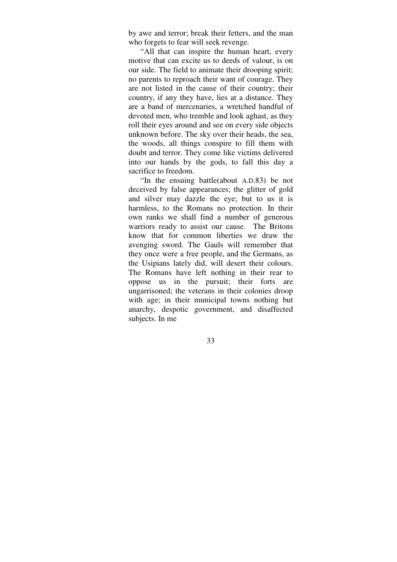by awe and terror; break their fetters, and the man who forgets to fear will seek revenge.

"All that can inspire the human heart, every motive that can excite us to deeds of valour, is on our side. The field to animate their drooping spirit; no parents to reproach their want of courage. They are not listed in the cause of their country; their country, if any they have, lies at a distance. They are a band of mercenaries, a wretched handful of devoted men, who tremble and look aghast, as they roll their eyes around and see on every side objects unknown before. The sky over their heads, the sea, the woods, all things conspire to fill them with doubt and terror. They come like victims delivered into our hands by the gods, to fall this day a sacrifice to freedom.

"In the ensuing battle(about A.D.83) be not deceived by false appearances; the glitter of gold and silver may dazzle the eye; but to us it is harmless, to the Romans no protection. In their own ranks we shall find a number of generous warriors ready to assist our cause. The Britons know that for common liberties we draw the avenging sword. The Gauls will remember that they once were a free people, and the Germans, as the Usipians lately did, will desert their colours. The Romans have left nothing in their rear to oppose us in the pursuit; their forts are ungarrisoned; the veterans in their colonies droop with age; in their municipal towns nothing but anarchy, despotic government, and disaffected subjects. In me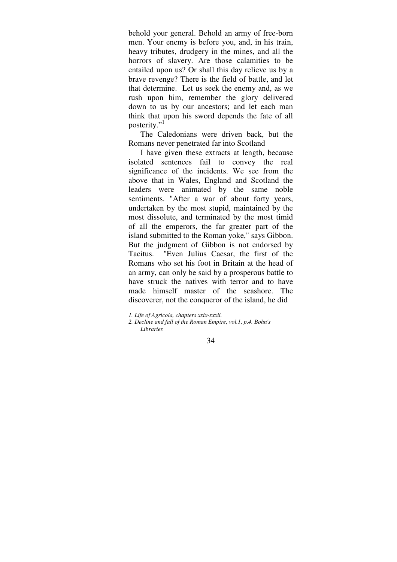behold your general. Behold an army of free-born men. Your enemy is before you, and, in his train, heavy tributes, drudgery in the mines, and all the horrors of slavery. Are those calamities to be entailed upon us? Or shall this day relieve us by a brave revenge? There is the field of battle, and let that determine. Let us seek the enemy and, as we rush upon him, remember the glory delivered down to us by our ancestors; and let each man think that upon his sword depends the fate of all posterity."<sup>1</sup>

The Caledonians were driven back, but the Romans never penetrated far into Scotland

I have given these extracts at length, because isolated sentences fail to convey the real significance of the incidents. We see from the above that in Wales, England and Scotland the leaders were animated by the same noble sentiments. "After a war of about forty years, undertaken by the most stupid, maintained by the most dissolute, and terminated by the most timid of all the emperors, the far greater part of the island submitted to the Roman yoke," says Gibbon. But the judgment of Gibbon is not endorsed by Tacitus. "Even Julius Caesar, the first of the Romans who set his foot in Britain at the head of an army, can only be said by a prosperous battle to have struck the natives with terror and to have made himself master of the seashore. The discoverer, not the conqueror of the island, he did

*1. Life of Agricola, chapters xxix-xxxii.* 

*<sup>2.</sup> Decline and fall of the Roman Empire, vol.1, p.4. Bohn's Libraries* 

 <sup>34</sup>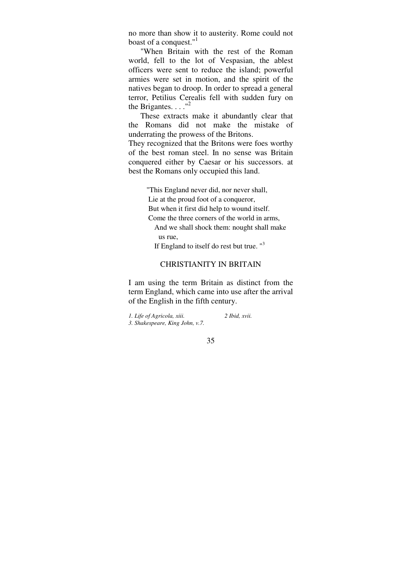no more than show it to austerity. Rome could not boast of a conquest."<sup>1</sup>

"When Britain with the rest of the Roman world, fell to the lot of Vespasian, the ablest officers were sent to reduce the island; powerful armies were set in motion, and the spirit of the natives began to droop. In order to spread a general terror, Petilius Cerealis fell with sudden fury on the Brigantes.  $\dots$ ."<sup>2</sup>

These extracts make it abundantly clear that the Romans did not make the mistake of underrating the prowess of the Britons.

They recognized that the Britons were foes worthy of the best roman steel. In no sense was Britain conquered either by Caesar or his successors. at best the Romans only occupied this land.

> "This England never did, nor never shall, Lie at the proud foot of a conqueror, But when it first did help to wound itself. Come the three corners of the world in arms, And we shall shock them: nought shall make us rue,

If England to itself do rest but true. "<sup>3</sup>

## CHRISTIANITY IN BRITAIN

I am using the term Britain as distinct from the term England, which came into use after the arrival of the English in the fifth century.

*1. Life of Agricola, xiii. 2 Ibid, xvii. 3. Shakespeare, King John, v.7.*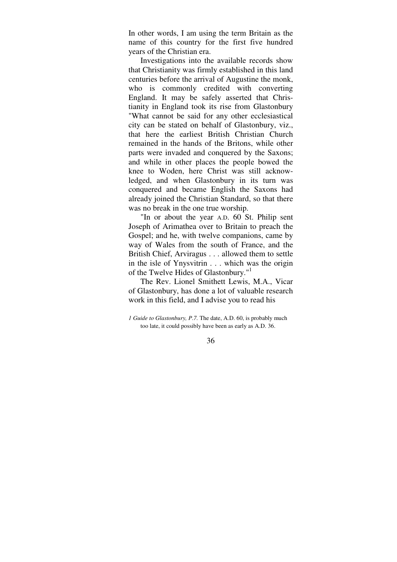In other words, I am using the term Britain as the name of this country for the first five hundred years of the Christian era.

Investigations into the available records show that Christianity was firmly established in this land centuries before the arrival of Augustine the monk, who is commonly credited with converting England. It may be safely asserted that Christianity in England took its rise from Glastonbury "What cannot be said for any other ecclesiastical city can be stated on behalf of Glastonbury, viz., that here the earliest British Christian Church remained in the hands of the Britons, while other parts were invaded and conquered by the Saxons; and while in other places the people bowed the knee to Woden, here Christ was still acknowledged, and when Glastonbury in its turn was conquered and became English the Saxons had already joined the Christian Standard, so that there was no break in the one true worship.

"In or about the year A.D. 60 St. Philip sent Joseph of Arimathea over to Britain to preach the Gospel; and he, with twelve companions, came by way of Wales from the south of France, and the British Chief, Arviragus . . . allowed them to settle in the isle of Ynysvitrin . . . which was the origin of the Twelve Hides of Glastonbury."<sup>1</sup>

The Rev. Lionel Smithett Lewis, M.A., Vicar of Glastonbury, has done a lot of valuable research work in this field, and I advise you to read his

*<sup>1</sup> Guide to Glastonbury, P.7.* The date, A.D. 60, is probably much too late, it could possibly have been as early as A.D. 36.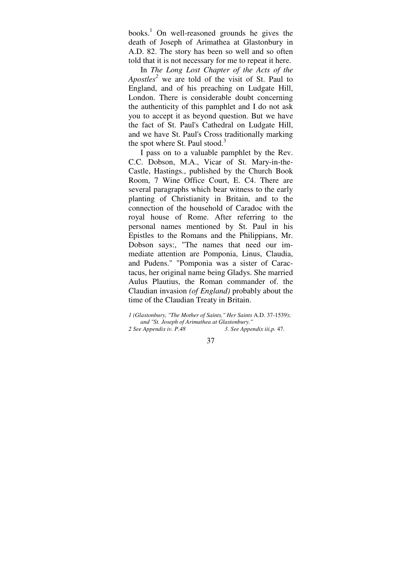books.<sup>1</sup> On well-reasoned grounds he gives the death of Joseph of Arimathea at Glastonbury in A.D. 82. The story has been so well and so often told that it is not necessary for me to repeat it here.

In *The Long Lost Chapter of the Acts of the Apostles<sup>2</sup>* we are told of the visit of St. Paul to England, and of his preaching on Ludgate Hill, London. There is considerable doubt concerning the authenticity of this pamphlet and I do not ask you to accept it as beyond question. But we have the fact of St. Paul's Cathedral on Ludgate Hill, and we have St. Paul's Cross traditionally marking the spot where St. Paul stood. $3$ 

I pass on to a valuable pamphlet by the Rev. C.C. Dobson, M.A., Vicar of St. Mary-in-the-Castle, Hastings., published by the Church Book Room, 7 Wine Office Court, E. C4. There are several paragraphs which bear witness to the early planting of Christianity in Britain, and to the connection of the household of Caradoc with the royal house of Rome. After referring to the personal names mentioned by St. Paul in his Epistles to the Romans and the Philippians, Mr. Dobson says:, "The names that need our immediate attention are Pomponia, Linus, Claudia, and Pudens." "Pomponia was a sister of Caractacus, her original name being Gladys. She married Aulus Plautius, the Roman commander of. the Claudian invasion *(of England)* probably about the time of the Claudian Treaty in Britain.

*1 (Glastonbury, "The Mother of Saints," Her Saints* A.D. 37-1539); *and "St. Joseph of Arimathea at Glastonbury." 2 See Appendix iv. P.48 3. See Appendix iii,p.* 47.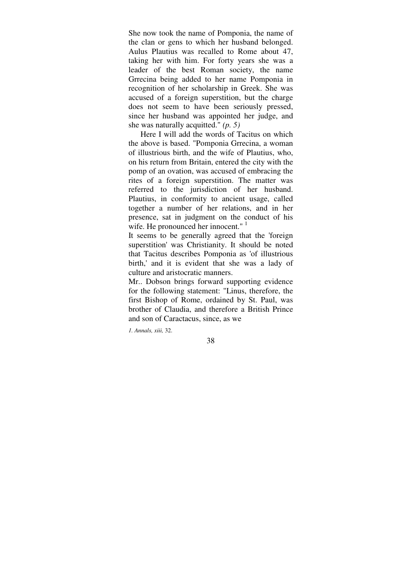She now took the name of Pomponia, the name of the clan or gens to which her husband belonged. Aulus Plautius was recalled to Rome about 47, taking her with him. For forty years she was a leader of the best Roman society, the name Grrecina being added to her name Pomponia in recognition of her scholarship in Greek. She was accused of a foreign superstition, but the charge does not seem to have been seriously pressed, since her husband was appointed her judge, and she was naturally acquitted." *(p. 5)*

Here I will add the words of Tacitus on which the above is based. "Pomponia Grrecina, a woman of illustrious birth, and the wife of Plautius, who, on his return from Britain, entered the city with the pomp of an ovation, was accused of embracing the rites of a foreign superstition. The matter was referred to the jurisdiction of her husband. Plautius, in conformity to ancient usage, called together a number of her relations, and in her presence, sat in judgment on the conduct of his wife. He pronounced her innocent." $1$ 

It seems to be generally agreed that the 'foreign superstition' was Christianity. It should be noted that Tacitus describes Pomponia as 'of illustrious birth,' and it is evident that she was a lady of culture and aristocratic manners.

Mr.. Dobson brings forward supporting evidence for the following statement: "Linus, therefore, the first Bishop of Rome, ordained by St. Paul, was brother of Claudia, and therefore a British Prince and son of Caractacus, since, as we

*1. Annals, xiii,* 32.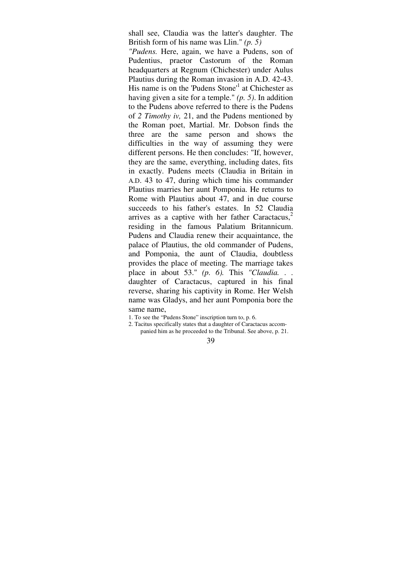shall see, Claudia was the latter's daughter. The British form of his name was Llin." *(p. 5)*

*"Pudens.* Here, again, we have a Pudens, son of Pudentius, praetor Castorum of the Roman headquarters at Regnum (Chichester) under Aulus Plautius during the Roman invasion in A.D. 42-43. His name is on the 'Pudens Stone'<sup>1</sup> at Chichester as having given a site for a temple." *(p. 5)*. In addition to the Pudens above referred to there is the Pudens of *2 Timothy iv,* 21, and the Pudens mentioned by the Roman poet, Martial. Mr. Dobson finds the three are the same person and shows the difficulties in the way of assuming they were different persons. He then concludes: "If, however, they are the same, everything, including dates, fits in exactly. Pudens meets (Claudia in Britain in A.D. 43 to 47, during which time his commander Plautius marries her aunt Pomponia. He returns to Rome with Plautius about 47, and in due course succeeds to his father's estates. In 52 Claudia arrives as a captive with her father Caractacus, $2$ residing in the famous Palatium Britannicum. Pudens and Claudia renew their acquaintance, the palace of Plautius, the old commander of Pudens, and Pomponia, the aunt of Claudia, doubtless provides the place of meeting. The marriage takes place in about 53." *(p. 6).* This *"Claudia.* . . daughter of Caractacus, captured in his final reverse, sharing his captivity in Rome. Her Welsh name was Gladys, and her aunt Pomponia bore the same name,

1. To see the "Pudens Stone" inscription turn to, p. 6.

2. Tacitus specifically states that a daughter of Caractacus accom-

panied him as he proceeded to the Tribunal. See above, p. 21.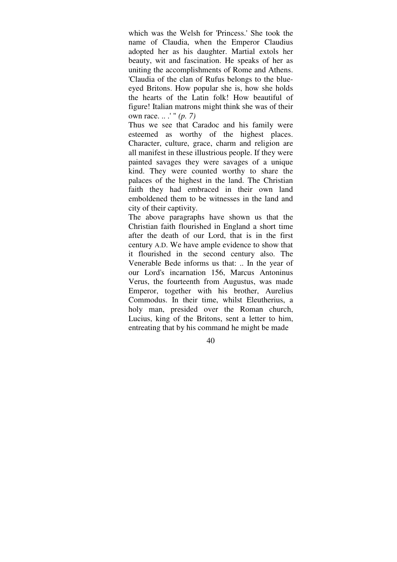which was the Welsh for 'Princess.' She took the name of Claudia, when the Emperor Claudius adopted her as his daughter. Martial extols her beauty, wit and fascination. He speaks of her as uniting the accomplishments of Rome and Athens. 'Claudia of the clan of Rufus belongs to the blueeyed Britons. How popular she is, how she holds the hearts of the Latin folk! How beautiful of figure! Italian matrons might think she was of their own race. .. .' " *(p. 7)*

Thus we see that Caradoc and his family were esteemed as worthy of the highest places. Character, culture, grace, charm and religion are all manifest in these illustrious people. If they were painted savages they were savages of a unique kind. They were counted worthy to share the palaces of the highest in the land. The Christian faith they had embraced in their own land emboldened them to be witnesses in the land and city of their captivity.

The above paragraphs have shown us that the Christian faith flourished in England a short time after the death of our Lord, that is in the first century A.D. We have ample evidence to show that it flourished in the second century also. The Venerable Bede informs us that: .. In the year of our Lord's incarnation 156, Marcus Antoninus Verus, the fourteenth from Augustus, was made Emperor, together with his brother, Aurelius Commodus. In their time, whilst Eleutherius, a holy man, presided over the Roman church, Lucius, king of the Britons, sent a letter to him, entreating that by his command he might be made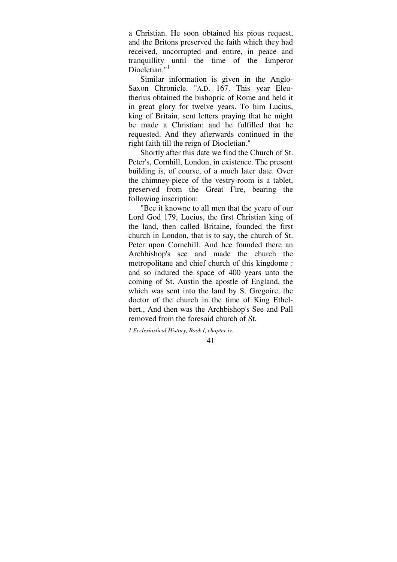a Christian. He soon obtained his pious request, and the Britons preserved the faith which they had received, uncorrupted and entire, in peace and tranquillity until the time of the Emperor Diocletian."<sup>1</sup>

Similar information is given in the Anglo-Saxon Chronicle. "A.D. 167. This year Eleutherius obtained the bishopric of Rome and held it in great glory for twelve years. To him Lucius, king of Britain, sent letters praying that he might be made a Christian: and he fulfilled that he requested. And they afterwards continued in the right faith till the reign of Diocletian."

Shortly after this date we find the Church of St. Peter's, Cornhill, London, in existence. The present building is, of course, of a much later date. Over the chimney-piece of the vestry-room is a tablet, preserved from the Great Fire, bearing the following inscription:

"Bee it knowne to all men that the yeare of our Lord God 179, Lucius, the first Christian king of the land, then called Britaine, founded the first church in London, that is to say, the church of St. Peter upon Cornehill. And hee founded there an Archbishop's see and made the church the metropolitane and chief church of this kingdome : and so indured the space of 400 years unto the coming of St. Austin the apostle of England, the which was sent into the land by S. Gregoire, the doctor of the church in the time of King Ethelbert., And then was the Archbishop's See and Pall removed from the foresaid church of St.

*1 Ecclesiastical History, Book I, chapter iv.*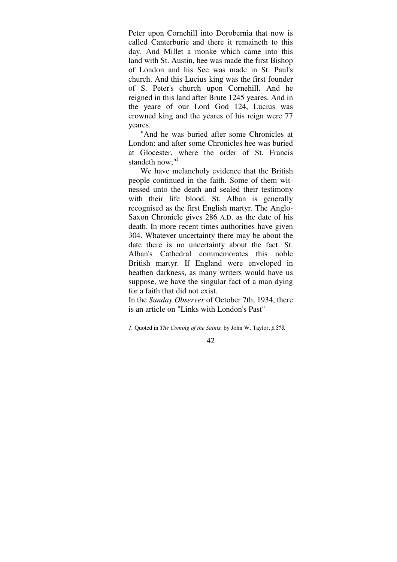Peter upon Cornehill into Dorobernia that now is called Canterburie and there it remaineth to this day. And Millet a monke which came into this land with St. Austin, hee was made the first Bishop of London and his See was made in St. Paul's church. And this Lucius king was the first founder of S. Peter's church upon Cornehill. And he reigned in this land after Brute 1245 yeares. And in the yeare of our Lord God 124, Lucius was crowned king and the yeares of his reign were 77 yeares.

"And he was buried after some Chronicles at London: and after some Chronicles hee was buried at Glocester, where the order of St. Francis standeth now;"<sup>1</sup>

We have melancholy evidence that the British people continued in the faith. Some of them witnessed unto the death and sealed their testimony with their life blood. St. Alban is generally recognised as the first English martyr. The Anglo-Saxon Chronicle gives 286 A.D. as the date of his death. In more recent times authorities have given 304. Whatever uncertainty there may be about the date there is no uncertainty about the fact. St. Alban's Cathedral commemorates this noble British martyr. If England were enveloped in heathen darkness, as many writers would have us suppose, we have the singular fact of a man dying for a faith that did not exist.

In the *Sunday Observer* of October 7th, 1934, there is an article on "Links with London's Past"

*1.* Quoted in *The Coming of the Saints,* by John W. Taylor, p.313.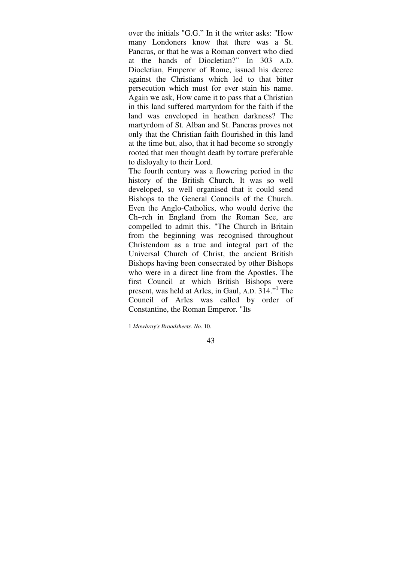over the initials "G.G." In it the writer asks: "How many Londoners know that there was a St. Pancras, or that he was a Roman convert who died at the hands of Diocletian?" In 303 A.D. Diocletian, Emperor of Rome, issued his decree against the Christians which led to that bitter persecution which must for ever stain his name. Again we ask, How came it to pass that a Christian in this land suffered martyrdom for the faith if the land was enveloped in heathen darkness? The martyrdom of St. Alban and St. Pancras proves not only that the Christian faith flourished in this land at the time but, also, that it had become so strongly rooted that men thought death by torture preferable to disloyalty to their Lord.

The fourth century was a flowering period in the history of the British Church. It was so well developed, so well organised that it could send Bishops to the General Councils of the Church. Even the Anglo-Catholics, who would derive the Ch~rch in England from the Roman See, are compelled to admit this. "The Church in Britain from the beginning was recognised throughout Christendom as a true and integral part of the Universal Church of Christ, the ancient British Bishops having been consecrated by other Bishops who were in a direct line from the Apostles. The first Council at which British Bishops were present, was held at Arles, in Gaul, A.D. 314."<sup>1</sup> The Council of ArIes was called by order of Constantine, the Roman Emperor. "Its

1 *Mowbray's Broadsheets. No.* 10.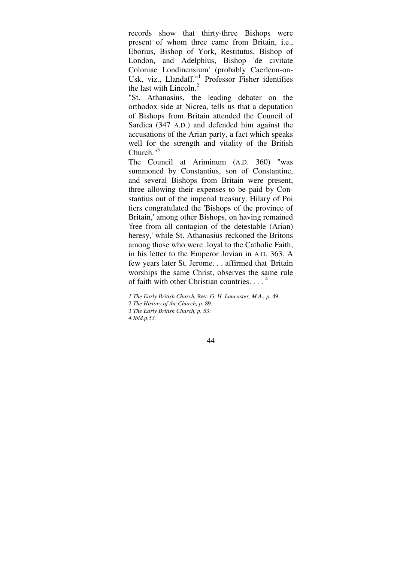records show that thirty-three Bishops were present of whom three came from Britain, i.e., Eborius, Bishop of York, Restitutus, Bishop of London, and Adelphius, Bishop 'de civitate Coloniae Londinensium' (probably Caerleon-on-Usk, viz., Llandaff."<sup>1</sup> Professor Fisher identifies the last with Lincoln. $^{2}$ 

"St. Athanasius, the leading debater on the orthodox side at Nicrea, tells us that a deputation of Bishops from Britain attended the Council of Sardica (347 A.D.) and defended him against the accusations of the Arian party, a fact which speaks well for the strength and vitality of the British Church. $13$ 

The Council at Ariminum (A.D. 360) "was summoned by Constantius, son of Constantine, and several Bishops from Britain were present, three allowing their expenses to be paid by Constantius out of the imperial treasury. Hilary of Poi tiers congratulated the 'Bishops of the province of Britain,' among other Bishops, on having remained 'free from all contagion of the detestable (Arian) heresy,' while St. Athanasius reckoned the Britons among those who were .loyal to the Catholic Faith, in his letter to the Emperor Jovian in A.D. 363. A few years later St. Jerome. . . affirmed that 'Britain worships the same Christ, observes the same rule of faith with other Christian countries.  $\ldots$ <sup>4</sup>

 *The Early British Church,* Rev. *G. H. Lancaster, M.A., p.* 49. *The History of the Church, p.* 89. *The Early British Church, p.* 53: *4.Ibid,p.53.*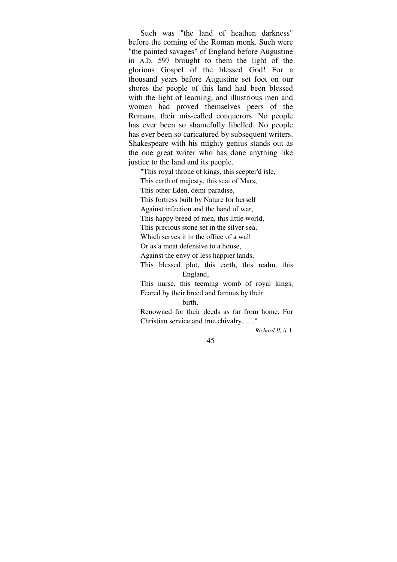Such was "the land of heathen darkness" before the coming of the Roman monk. Such were "the painted savages" of England before Augustine in A.D. 597 brought to them the light of the glorious Gospel of the blessed God! For a thousand years before Augustine set foot on our shores the people of this land had been blessed with the light of learning, and illustrious men and women had proved themselves peers of the Romans, their mis-called conquerors. No people has ever been so shamefully libelled. No people has ever been so caricatured by subsequent writers. Shakespeare with his mighty genius stands out as the one great writer who has done anything like justice to the land and its people.

"This royal throne of kings, this scepter'd isle, This earth of majesty, this seat of Mars, This other Eden, demi-paradise, This fortress built by Nature for herself Against infection and the hand of war, This happy breed of men, this little world, This precious stone set in the silver sea, Which serves it in the office of a wall Or as a moat defensive to a house, Against the envy of less happier lands, This blessed plot, this earth, this realm, this England, This nurse, this teeming womb of royal kings, Feared by their breed and famous by their birth,

Renowned for their deeds as far from home, For Christian service and true chivalry. . . ."

*Richard II, ii,* I.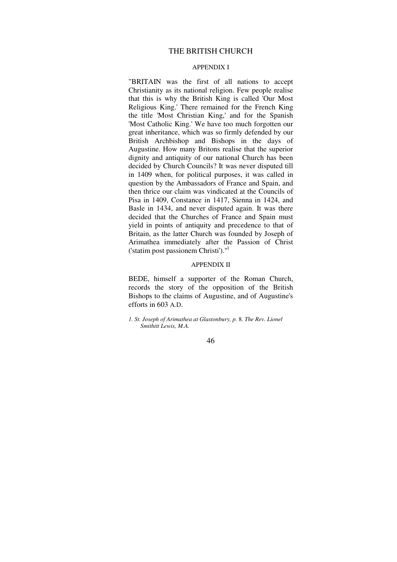#### THE BRITISH CHURCH

#### APPENDIX I

"BRITAIN was the first of all nations to accept Christianity as its national religion. Few people realise that this is why the British King is called 'Our Most Religious King.' There remained for the French King the title 'Most Christian King,' and for the Spanish 'Most Catholic King.' We have too much forgotten our great inheritance, which was so firmly defended by our British Archbishop and Bishops in the days of Augustine. How many Britons realise that the superior dignity and antiquity of our national Church has been decided by Church Councils? It was never disputed till in 1409 when, for political purposes, it was called in question by the Ambassadors of France and Spain, and then thrice our claim was vindicated at the Councils of Pisa in 1409, Constance in 1417, Sienna in 1424, and Basle in 1434, and never disputed again. It was there decided that the Churches of France and Spain must yield in points of antiquity and precedence to that of Britain, as the latter Church was founded by Joseph of Arimathea immediately after the Passion of Christ ('statim post passionem Christi')."<sup>l</sup>

#### APPENDIX II

BEDE, himself a supporter of the Roman Church, records the story of the opposition of the British Bishops to the claims of Augustine, and of Augustine's efforts in 603 A.D.

*1. St. Joseph of Arimathea at Glastonbury, p.* 8. *The Rev. Lionel Smithitt Lewis, M.A.*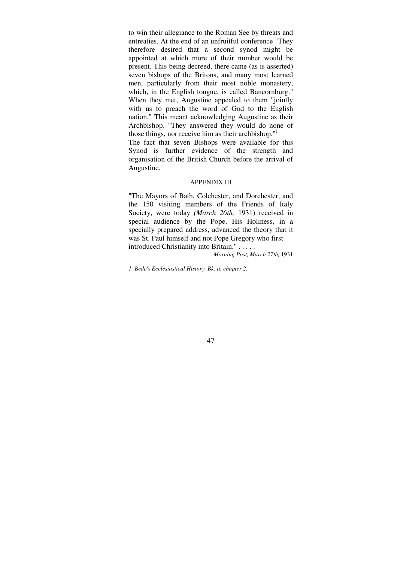to win their allegiance to the Roman See by threats and entreaties. At the end of an unfruitful conference "They therefore desired that a second synod might be appointed at which more of their number would be present. This being decreed, there came (as is asserted) seven bishops of the Britons, and many most learned men, particularly from their most noble monastery, which, in the English tongue, is called Bancornburg." When they met, Augustine appealed to them "jointly with us to preach the word of God to the English nation." This meant acknowledging Augustine as their Archbishop. "They answered they would do none of those things, nor receive him as their archbishop."<sup>1</sup> The fact that seven Bishops were available for this Synod is further evidence of the strength and organisation of the British Church before the arrival of Augustine.

#### APPENDIX III

"The Mayors of Bath, Colchester, and Dorchester, and the 150 visiting members of the Friends of Italy Society, were today *(March 26th,* 1931) received in special audience by the Pope. His Holiness, in a specially prepared address, advanced the theory that it was St. Paul himself and not Pope Gregory who first introduced Christianity into Britain." . . . . .

*Morning Post, March 27th,* 1931

*1. Bede's Ecclesiastical History, Bk. ii, chapter 2.*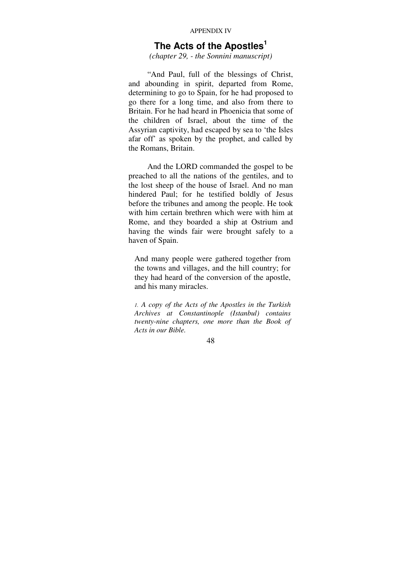#### APPENDIX IV

## **The Acts of the Apostles<sup>1</sup>**

*(chapter 29, - the Sonnini manuscript)* 

"And Paul, full of the blessings of Christ, and abounding in spirit, departed from Rome, determining to go to Spain, for he had proposed to go there for a long time, and also from there to Britain. For he had heard in Phoenicia that some of the children of Israel, about the time of the Assyrian captivity, had escaped by sea to 'the Isles afar off' as spoken by the prophet, and called by the Romans, Britain.

And the LORD commanded the gospel to be preached to all the nations of the gentiles, and to the lost sheep of the house of Israel. And no man hindered Paul; for he testified boldly of Jesus before the tribunes and among the people. He took with him certain brethren which were with him at Rome, and they boarded a ship at Ostrium and having the winds fair were brought safely to a haven of Spain.

And many people were gathered together from the towns and villages, and the hill country; for they had heard of the conversion of the apostle, and his many miracles.

*1. A copy of the Acts of the Apostles in the Turkish Archives at Constantinople (Istanbul) contains twenty-nine chapters, one more than the Book of Acts in our Bible.*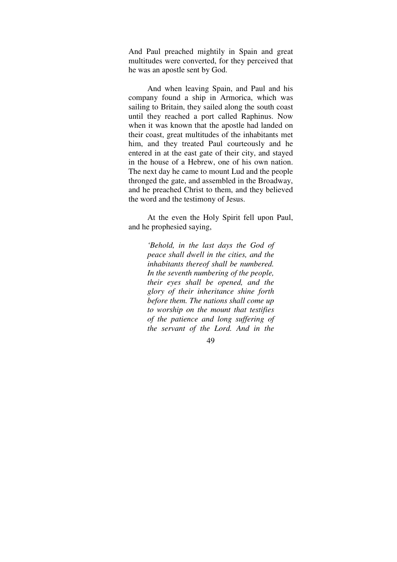And Paul preached mightily in Spain and great multitudes were converted, for they perceived that he was an apostle sent by God.

And when leaving Spain, and Paul and his company found a ship in Armorica, which was sailing to Britain, they sailed along the south coast until they reached a port called Raphinus. Now when it was known that the apostle had landed on their coast, great multitudes of the inhabitants met him, and they treated Paul courteously and he entered in at the east gate of their city, and stayed in the house of a Hebrew, one of his own nation. The next day he came to mount Lud and the people thronged the gate, and assembled in the Broadway, and he preached Christ to them, and they believed the word and the testimony of Jesus.

At the even the Holy Spirit fell upon Paul, and he prophesied saying,

> *'Behold, in the last days the God of peace shall dwell in the cities, and the inhabitants thereof shall be numbered. In the seventh numbering of the people, their eyes shall be opened, and the glory of their inheritance shine forth before them. The nations shall come up to worship on the mount that testifies of the patience and long suffering of the servant of the Lord. And in the*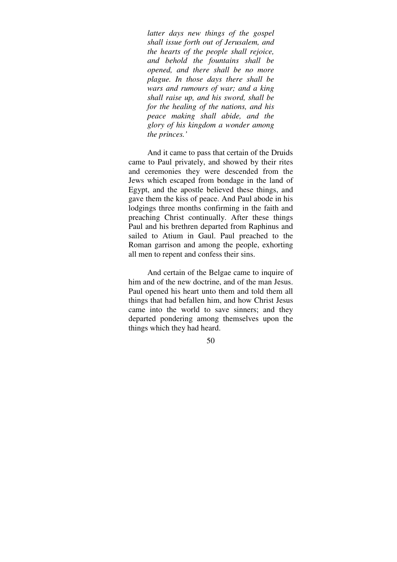*latter days new things of the gospel shall issue forth out of Jerusalem, and the hearts of the people shall rejoice, and behold the fountains shall be opened, and there shall be no more plague. In those days there shall be wars and rumours of war; and a king shall raise up, and his sword, shall be for the healing of the nations, and his peace making shall abide, and the glory of his kingdom a wonder among the princes.'* 

And it came to pass that certain of the Druids came to Paul privately, and showed by their rites and ceremonies they were descended from the Jews which escaped from bondage in the land of Egypt, and the apostle believed these things, and gave them the kiss of peace. And Paul abode in his lodgings three months confirming in the faith and preaching Christ continually. After these things Paul and his brethren departed from Raphinus and sailed to Atium in Gaul. Paul preached to the Roman garrison and among the people, exhorting all men to repent and confess their sins.

And certain of the Belgae came to inquire of him and of the new doctrine, and of the man Jesus. Paul opened his heart unto them and told them all things that had befallen him, and how Christ Jesus came into the world to save sinners; and they departed pondering among themselves upon the things which they had heard.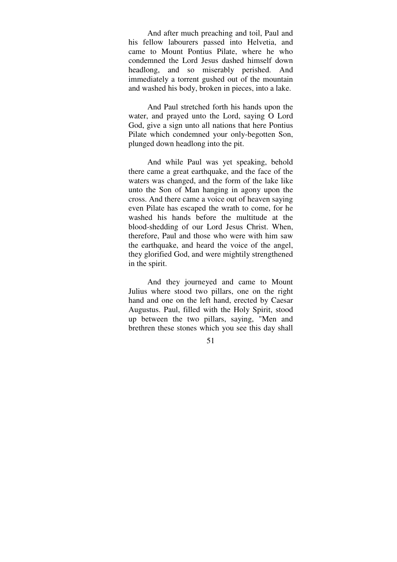And after much preaching and toil, Paul and his fellow labourers passed into Helvetia, and came to Mount Pontius Pilate, where he who condemned the Lord Jesus dashed himself down headlong, and so miserably perished. And immediately a torrent gushed out of the mountain and washed his body, broken in pieces, into a lake.

And Paul stretched forth his hands upon the water, and prayed unto the Lord, saying O Lord God, give a sign unto all nations that here Pontius Pilate which condemned your only-begotten Son, plunged down headlong into the pit.

And while Paul was yet speaking, behold there came a great earthquake, and the face of the waters was changed, and the form of the lake like unto the Son of Man hanging in agony upon the cross. And there came a voice out of heaven saying even Pilate has escaped the wrath to come, for he washed his hands before the multitude at the blood-shedding of our Lord Jesus Christ. When, therefore, Paul and those who were with him saw the earthquake, and heard the voice of the angel, they glorified God, and were mightily strengthened in the spirit.

And they journeyed and came to Mount Julius where stood two pillars, one on the right hand and one on the left hand, erected by Caesar Augustus. Paul, filled with the Holy Spirit, stood up between the two pillars, saying, "Men and brethren these stones which you see this day shall